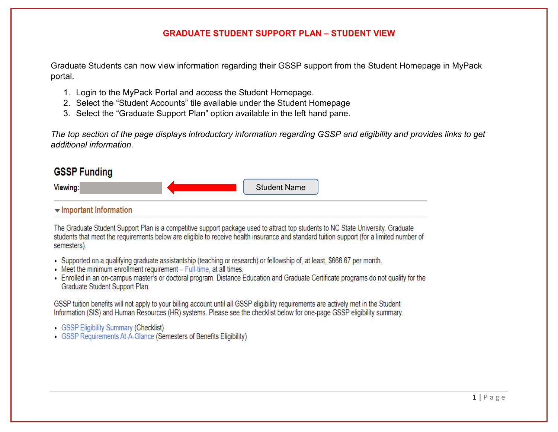## **GRADUATE STUDENT SUPPORT PLAN – STUDENT VIEW**

Graduate Students can now view information regarding their GSSP support from the Student Homepage in MyPack portal.

- 1. Login to the MyPack Portal and access the Student Homepage.
- 2. Select the "Student Accounts" tile available under the Student Homepage
- 3. Select the "Graduate Support Plan" option available in the left hand pane.

*The top section of the page displays introductory information regarding GSSP and eligibility and provides links to get additional information.* 

# **GSSP Funding**



The Graduate Student Support Plan is a competitive support package used to attract top students to NC State University. Graduate students that meet the requirements below are eligible to receive health insurance and standard tuition support (for a limited number of semesters).

- Supported on a qualifying graduate assistantship (teaching or research) or fellowship of, at least, \$666.67 per month.
- Meet the minimum enrollment requirement Full-time, at all times.
- Enrolled in an on-campus master's or doctoral program. Distance Education and Graduate Certificate programs do not qualify for the Graduate Student Support Plan.

GSSP tuition benefits will not apply to your billing account until all GSSP eligibility requirements are actively met in the Student Information (SIS) and Human Resources (HR) systems. Please see the checklist below for one-page GSSP eligibility summary.

- GSSP Eligibility Summary (Checklist)
- GSSP Requirements At-A-Glance (Semesters of Benefits Eligibility)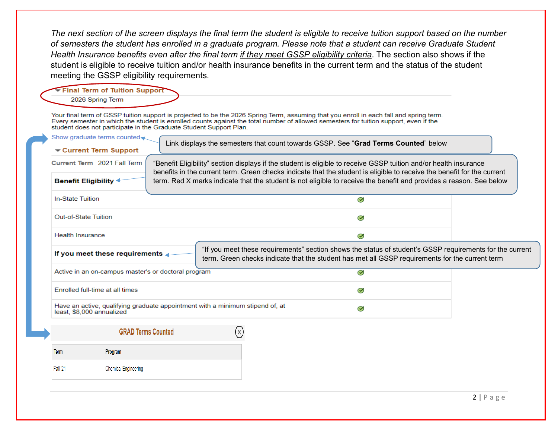*The next section of the screen displays the final term the student is eligible to receive tuition support based on the number of semesters the student has enrolled in a graduate program. Please note that a student can receive Graduate Student Health Insurance benefits even after the final term if they meet GSSP eligibility criteria*. The section also shows if the student is eligible to receive tuition and/or health insurance benefits in the current term and the status of the student meeting the GSSP eligibility requirements.

### Final Term of Tuition Support

#### 2026 Spring Term

Your final term of GSSP tuition support is projected to be the 2026 Spring Term, assuming that you enroll in each fall and spring term. Every semester in which the student is enrolled counts against the total number of allowed semesters for tuition support, even if the student does not participate in the Graduate Student Support Plan.

| Show graduate terms counted                                                                                                                                                     |                           | Link displays the semesters that count towards GSSP. See "Grad Terms Counted" below                                                                                                                                                          |                          |                                                                                                          |
|---------------------------------------------------------------------------------------------------------------------------------------------------------------------------------|---------------------------|----------------------------------------------------------------------------------------------------------------------------------------------------------------------------------------------------------------------------------------------|--------------------------|----------------------------------------------------------------------------------------------------------|
| $\blacktriangleright$ Current Term Support<br>Current Term 2021 Fall Term                                                                                                       |                           | "Benefit Eligibility" section displays if the student is eligible to receive GSSP tuition and/or health insurance<br>benefits in the current term. Green checks indicate that the student is eligible to receive the benefit for the current |                          |                                                                                                          |
| Benefit Eligibility <                                                                                                                                                           |                           | term. Red X marks indicate that the student is not eligible to receive the benefit and provides a reason. See below                                                                                                                          |                          |                                                                                                          |
| <b>In-State Tuition</b>                                                                                                                                                         |                           |                                                                                                                                                                                                                                              | $\bm{\varnothing}$       |                                                                                                          |
| Out-of-State Tuition                                                                                                                                                            |                           |                                                                                                                                                                                                                                              | $\bm{\varnothing}$       |                                                                                                          |
| <b>Health Insurance</b>                                                                                                                                                         |                           |                                                                                                                                                                                                                                              | $\bm{\mathcal{G}}$       |                                                                                                          |
|                                                                                                                                                                                 |                           |                                                                                                                                                                                                                                              |                          |                                                                                                          |
|                                                                                                                                                                                 |                           | term. Green checks indicate that the student has met all GSSP requirements for the current term                                                                                                                                              |                          | "If you meet these requirements" section shows the status of student's GSSP requirements for the current |
|                                                                                                                                                                                 |                           |                                                                                                                                                                                                                                              | $\overline{\mathcal{G}}$ |                                                                                                          |
|                                                                                                                                                                                 |                           |                                                                                                                                                                                                                                              | $\bm{\heartsuit}$        |                                                                                                          |
|                                                                                                                                                                                 |                           | Have an active, qualifying graduate appointment with a minimum stipend of, at                                                                                                                                                                | $\bm{\heartsuit}$        |                                                                                                          |
|                                                                                                                                                                                 | <b>GRAD Terms Counted</b> | (x)                                                                                                                                                                                                                                          |                          |                                                                                                          |
| If you meet these requirements<br>Active in an on-campus master's or doctoral program<br>Enrolled full-time at all times<br>least. \$8,000 annualized<br><b>Term</b><br>Program |                           |                                                                                                                                                                                                                                              |                          |                                                                                                          |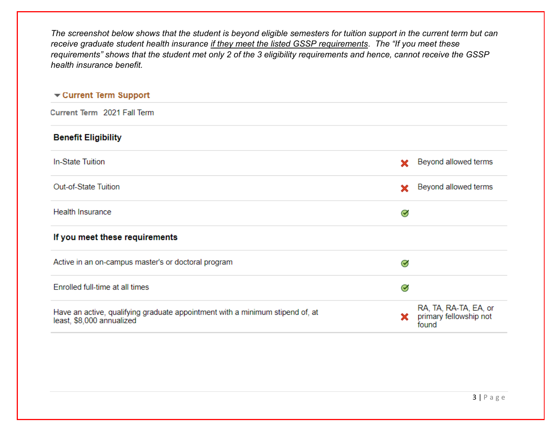*The screenshot below shows that the student is beyond eligible semesters for tuition support in the current term but can receive graduate student health insurance if they meet the listed GSSP requirements*. *The "If you meet these requirements" shows that the student met only 2 of the 3 eligibility requirements and hence, cannot receive the GSSP health insurance benefit.* 

## Current Term Support

Current Term 2021 Fall Term

| <b>Benefit Eligibility</b>                                                                                 |                    |                                                          |
|------------------------------------------------------------------------------------------------------------|--------------------|----------------------------------------------------------|
| In-State Tuition                                                                                           | ×                  | Beyond allowed terms                                     |
| Out-of-State Tuition                                                                                       | ×                  | Beyond allowed terms                                     |
| <b>Health Insurance</b>                                                                                    | $\bm{\heartsuit}$  |                                                          |
| If you meet these requirements                                                                             |                    |                                                          |
| Active in an on-campus master's or doctoral program                                                        | $\bm{\heartsuit}$  |                                                          |
| Enrolled full-time at all times                                                                            | $\bm{\varnothing}$ |                                                          |
| Have an active, qualifying graduate appointment with a minimum stipend of, at<br>least, \$8,000 annualized | x.                 | RA, TA, RA-TA, EA, or<br>primary fellowship not<br>found |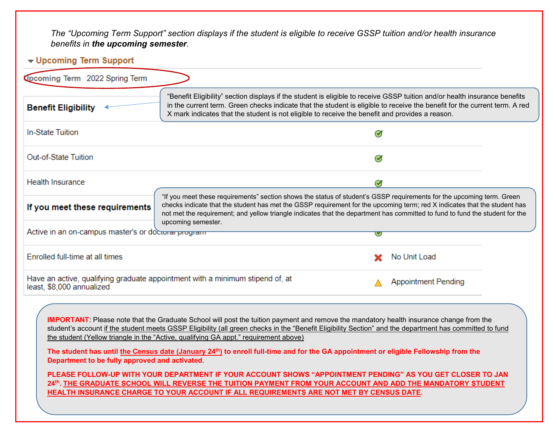*The "Upcoming Term Support" section displays if the student is eligible to receive GSSP tuition and/or health insurance benefits in the upcoming semester.* 

## - Upcoming Term Support

| Opcoming Term 2022 Spring Term                      |                                                                                                                                                                                                                                                                                                                                                                                                                                                                                       |                                                                                                                                                                                                                                                                                                                                                                                     |  |  |  |  |
|-----------------------------------------------------|---------------------------------------------------------------------------------------------------------------------------------------------------------------------------------------------------------------------------------------------------------------------------------------------------------------------------------------------------------------------------------------------------------------------------------------------------------------------------------------|-------------------------------------------------------------------------------------------------------------------------------------------------------------------------------------------------------------------------------------------------------------------------------------------------------------------------------------------------------------------------------------|--|--|--|--|
| <b>Benefit Eligibility</b>                          | "Benefit Eligibility" section displays if the student is eligible to receive GSSP tuition and/or health insurance benefits<br>in the current term. Green checks indicate that the student is eligible to receive the benefit for the current term. A red<br>X mark indicates that the student is not eligible to receive the benefit and provides a reason.                                                                                                                           |                                                                                                                                                                                                                                                                                                                                                                                     |  |  |  |  |
| In-State Tuition                                    |                                                                                                                                                                                                                                                                                                                                                                                                                                                                                       | $\bm{\heartsuit}$                                                                                                                                                                                                                                                                                                                                                                   |  |  |  |  |
| Out-of-State Tuition                                | $\bm{\heartsuit}$                                                                                                                                                                                                                                                                                                                                                                                                                                                                     |                                                                                                                                                                                                                                                                                                                                                                                     |  |  |  |  |
| <b>Health Insurance</b>                             |                                                                                                                                                                                                                                                                                                                                                                                                                                                                                       | $\bm{\mathcal{G}}$                                                                                                                                                                                                                                                                                                                                                                  |  |  |  |  |
| If you meet these requirements                      | "If you meet these requirements" section shows the status of student's GSSP requirements for the upcoming term. Green<br>checks indicate that the student has met the GSSP requirement for the upcoming term; red X indicates that the student has<br>not met the requirement; and yellow triangle indicates that the department has committed to fund to fund the student for the<br>upcoming semester.                                                                              |                                                                                                                                                                                                                                                                                                                                                                                     |  |  |  |  |
| Active in an on-campus master's or doctoral program |                                                                                                                                                                                                                                                                                                                                                                                                                                                                                       | V                                                                                                                                                                                                                                                                                                                                                                                   |  |  |  |  |
| Enrolled full-time at all times                     |                                                                                                                                                                                                                                                                                                                                                                                                                                                                                       | No Unit Load                                                                                                                                                                                                                                                                                                                                                                        |  |  |  |  |
| least, \$8,000 annualized                           | Have an active, qualifying graduate appointment with a minimum stipend of, at                                                                                                                                                                                                                                                                                                                                                                                                         | <b>Appointment Pending</b>                                                                                                                                                                                                                                                                                                                                                          |  |  |  |  |
| Department to be fully approved and activated.      | <b>IMPORTANT:</b> Please note that the Graduate School will post the tuition payment and remove the mandatory health insurance change from the<br>the student (Yellow triangle in the "Active, qualifying GA appt." requirement above)<br>The student has until the Census date (January 24 <sup>th</sup> ) to enroll full-time and for the GA appointment or eligible Fellowship from the<br>HEALTH INSURANCE CHARGE TO YOUR ACCOUNT IF ALL REQUIREMENTS ARE NOT MET BY CENSUS DATE. | student's account if the student meets GSSP Eligibility (all green checks in the "Benefit Eligibility Section" and the department has committed to fund<br>PLEASE FOLLOW-UP WITH YOUR DEPARTMENT IF YOUR ACCOUNT SHOWS "APPOINTMENT PENDING" AS YOU GET CLOSER TO JAN<br>24th. THE GRADUATE SCHOOL WILL REVERSE THE TUITION PAYMENT FROM YOUR ACCOUNT AND ADD THE MANDATORY STUDENT |  |  |  |  |